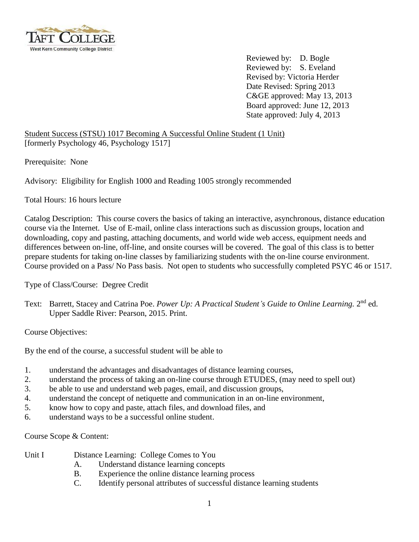

Reviewed by: D. Bogle Reviewed by: S. Eveland Revised by: Victoria Herder Date Revised: Spring 2013 C&GE approved: May 13, 2013 Board approved: June 12, 2013 State approved: July 4, 2013

Student Success (STSU) 1017 Becoming A Successful Online Student (1 Unit) [formerly Psychology 46, Psychology 1517]

Prerequisite: None

Advisory: Eligibility for English 1000 and Reading 1005 strongly recommended

Total Hours: 16 hours lecture

Catalog Description: This course covers the basics of taking an interactive, asynchronous, distance education course via the Internet. Use of E-mail, online class interactions such as discussion groups, location and downloading, copy and pasting, attaching documents, and world wide web access, equipment needs and differences between on-line, off-line, and onsite courses will be covered. The goal of this class is to better prepare students for taking on-line classes by familiarizing students with the on-line course environment. Course provided on a Pass/ No Pass basis. Not open to students who successfully completed PSYC 46 or 1517.

Type of Class/Course: Degree Credit

Text: Barrett, Stacey and Catrina Poe. Power Up: A Practical Student's Guide to Online Learning. 2<sup>nd</sup> ed. Upper Saddle River: Pearson, 2015. Print.

Course Objectives:

By the end of the course, a successful student will be able to

- 1. understand the advantages and disadvantages of distance learning courses,
- 2. understand the process of taking an on-line course through ETUDES, (may need to spell out)
- 3. be able to use and understand web pages, email, and discussion groups,
- 4. understand the concept of netiquette and communication in an on-line environment,
- 5. know how to copy and paste, attach files, and download files, and
- 6. understand ways to be a successful online student.

Course Scope & Content:

- Unit I Distance Learning: College Comes to You
	- A. Understand distance learning concepts
	- B. Experience the online distance learning process
	- C. Identify personal attributes of successful distance learning students